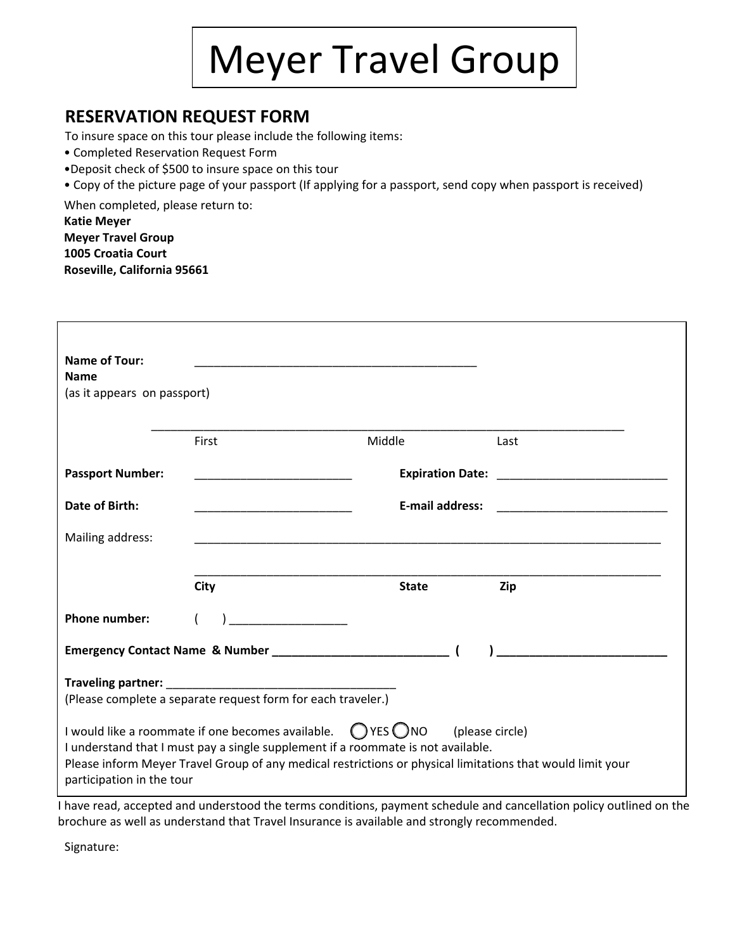

# **RESERVATION REQUEST FORM**

To insure space on this tour please include the following items:

- Completed Reservation Request Form
- •Deposit check of \$500 to insure space on this tour
- Copy of the picture page of your passport (If applying for a passport, send copy when passport is received)

When completed, please return to:

**Katie Meyer Meyer Travel Group 1005 Croatia Court Roseville, California 95661**

| <b>Name of Tour:</b>                                                                                                                                                                                                                                                                             |                                                                                                                                                                                                                                                                                                                                                                                                                                  |                        |      |
|--------------------------------------------------------------------------------------------------------------------------------------------------------------------------------------------------------------------------------------------------------------------------------------------------|----------------------------------------------------------------------------------------------------------------------------------------------------------------------------------------------------------------------------------------------------------------------------------------------------------------------------------------------------------------------------------------------------------------------------------|------------------------|------|
| <b>Name</b>                                                                                                                                                                                                                                                                                      |                                                                                                                                                                                                                                                                                                                                                                                                                                  |                        |      |
| (as it appears on passport)                                                                                                                                                                                                                                                                      |                                                                                                                                                                                                                                                                                                                                                                                                                                  |                        |      |
|                                                                                                                                                                                                                                                                                                  | First                                                                                                                                                                                                                                                                                                                                                                                                                            | Middle                 | Last |
| <b>Passport Number:</b>                                                                                                                                                                                                                                                                          |                                                                                                                                                                                                                                                                                                                                                                                                                                  |                        |      |
| Date of Birth:                                                                                                                                                                                                                                                                                   |                                                                                                                                                                                                                                                                                                                                                                                                                                  | <b>E-mail address:</b> |      |
| Mailing address:                                                                                                                                                                                                                                                                                 |                                                                                                                                                                                                                                                                                                                                                                                                                                  |                        |      |
|                                                                                                                                                                                                                                                                                                  | <b>City</b>                                                                                                                                                                                                                                                                                                                                                                                                                      | <b>State</b>           | Zip  |
| <b>Phone number:</b>                                                                                                                                                                                                                                                                             | $\overline{\phantom{a}}$ . The contract of $\overline{\phantom{a}}$ , $\overline{\phantom{a}}$ , $\overline{\phantom{a}}$ , $\overline{\phantom{a}}$ , $\overline{\phantom{a}}$ , $\overline{\phantom{a}}$ , $\overline{\phantom{a}}$ , $\overline{\phantom{a}}$ , $\overline{\phantom{a}}$ , $\overline{\phantom{a}}$ , $\overline{\phantom{a}}$ , $\overline{\phantom{a}}$ , $\overline{\phantom{a}}$ , $\overline{\phantom{a$ |                        |      |
|                                                                                                                                                                                                                                                                                                  |                                                                                                                                                                                                                                                                                                                                                                                                                                  |                        |      |
| (Please complete a separate request form for each traveler.)                                                                                                                                                                                                                                     |                                                                                                                                                                                                                                                                                                                                                                                                                                  |                        |      |
| I would like a roommate if one becomes available. $\bigcirc$ YES $\bigcirc$ NO (please circle)<br>I understand that I must pay a single supplement if a roommate is not available.<br>Please inform Meyer Travel Group of any medical restrictions or physical limitations that would limit your |                                                                                                                                                                                                                                                                                                                                                                                                                                  |                        |      |
| participation in the tour                                                                                                                                                                                                                                                                        |                                                                                                                                                                                                                                                                                                                                                                                                                                  |                        |      |
| I have read, accepted and understood the terms conditions, payment schedule and cancellation policy outlined on the                                                                                                                                                                              |                                                                                                                                                                                                                                                                                                                                                                                                                                  |                        |      |

brochure as well as understand that Travel Insurance is available and strongly recommended.

Signature: